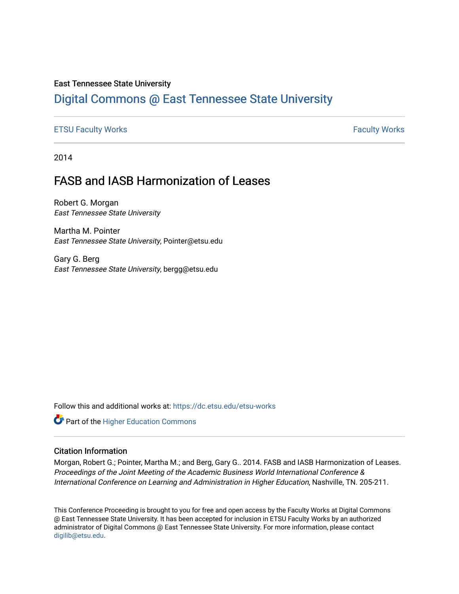#### East Tennessee State University

## [Digital Commons @ East Tennessee State University](https://dc.etsu.edu/)

#### [ETSU Faculty Works](https://dc.etsu.edu/etsu-works) **Faculty Works** [Faculty Works](https://dc.etsu.edu/faculty-works) **Faculty Works**

2014

# FASB and IASB Harmonization of Leases

Robert G. Morgan East Tennessee State University

Martha M. Pointer East Tennessee State University, Pointer@etsu.edu

Gary G. Berg East Tennessee State University, bergg@etsu.edu

Follow this and additional works at: [https://dc.etsu.edu/etsu-works](https://dc.etsu.edu/etsu-works?utm_source=dc.etsu.edu%2Fetsu-works%2F3018&utm_medium=PDF&utm_campaign=PDFCoverPages) 

Part of the [Higher Education Commons](http://network.bepress.com/hgg/discipline/1245?utm_source=dc.etsu.edu%2Fetsu-works%2F3018&utm_medium=PDF&utm_campaign=PDFCoverPages) 

### Citation Information

Morgan, Robert G.; Pointer, Martha M.; and Berg, Gary G.. 2014. FASB and IASB Harmonization of Leases. Proceedings of the Joint Meeting of the Academic Business World International Conference & International Conference on Learning and Administration in Higher Education, Nashville, TN. 205-211.

This Conference Proceeding is brought to you for free and open access by the Faculty Works at Digital Commons @ East Tennessee State University. It has been accepted for inclusion in ETSU Faculty Works by an authorized administrator of Digital Commons @ East Tennessee State University. For more information, please contact [digilib@etsu.edu](mailto:digilib@etsu.edu).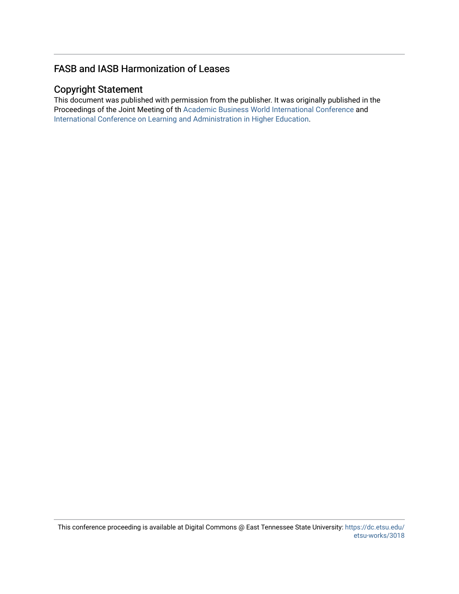### FASB and IASB Harmonization of Leases

### Copyright Statement

This document was published with permission from the publisher. It was originally published in the Proceedings of the Joint Meeting of th [Academic Business World International Conference](http://abwic.org/) and [International Conference on Learning and Administration in Higher Education](http://iclahe.org/).